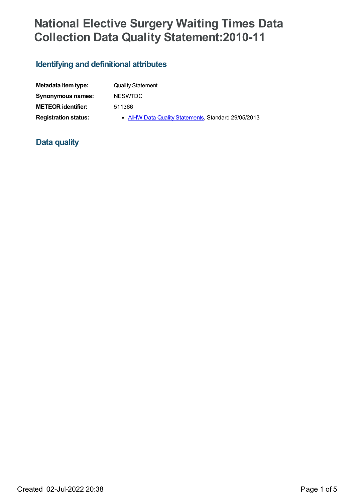## **National Elective Surgery Waiting Times Data Collection Data Quality Statement:2010-11**

## **Identifying and definitional attributes**

| Metadata item type:         | <b>Quality Statement</b>                            |
|-----------------------------|-----------------------------------------------------|
| Synonymous names:           | <b>NESWTDC</b>                                      |
| <b>METEOR identifier:</b>   | 511366                                              |
| <b>Registration status:</b> | • AIHW Data Quality Statements, Standard 29/05/2013 |

## **Data quality**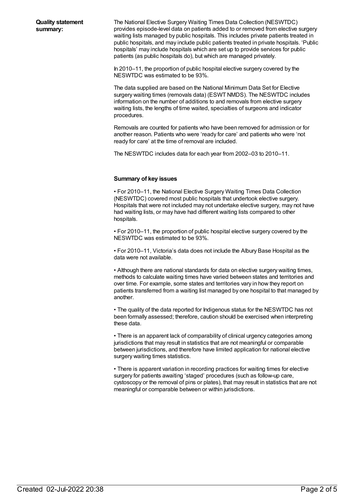The National Elective Surgery Waiting Times Data Collection (NESWTDC) provides episode-level data on patients added to or removed from elective surgery waiting lists managed by public hospitals. This includes private patients treated in public hospitals, and may include public patients treated in private hospitals. 'Public hospitals' may include hospitals which are set up to provide services for public patients (as public hospitals do), but which are managed privately.

In 2010–11, the proportion of public hospital elective surgery covered by the NESWTDC was estimated to be 93%.

The data supplied are based on the National Minimum Data Set for Elective surgery waiting times (removals data) (ESWT NMDS). The NESWTDC includes information on the number of additions to and removals from elective surgery waiting lists, the lengths of time waited, specialties of surgeons and indicator procedures.

Removals are counted for patients who have been removed for admission or for another reason. Patients who were 'ready for care' and patients who were 'not ready for care' at the time of removal are included.

The NESWTDC includes data for each year from 2002–03 to 2010–11.

## **Summary of key issues**

• For 2010–11, the National Elective Surgery Waiting Times Data Collection (NESWTDC) covered most public hospitals that undertook elective surgery. Hospitals that were not included may not undertake elective surgery, may not have had waiting lists, or may have had different waiting lists compared to other hospitals.

• For 2010–11, the proportion of public hospital elective surgery covered by the NESWTDC was estimated to be 93%.

• For 2010–11, Victoria's data does not include the Albury Base Hospital as the data were not available.

• Although there are national standards for data on elective surgery waiting times, methods to calculate waiting times have varied between states and territories and over time. For example, some states and territories vary in how they report on patients transferred from a waiting list managed by one hospital to that managed by another.

• The quality of the data reported for Indigenous status for the NESWTDC has not been formally assessed; therefore, caution should be exercised when interpreting these data.

• There is an apparent lack of comparability of clinical urgency categories among jurisdictions that may result in statistics that are not meaningful or comparable between jurisdictions, and therefore have limited application for national elective surgery waiting times statistics.

• There is apparent variation in recording practices for waiting times for elective surgery for patients awaiting 'staged' procedures (such as follow-up care, cystoscopy or the removal of pins or plates), that may result in statistics that are not meaningful or comparable between or within jurisdictions.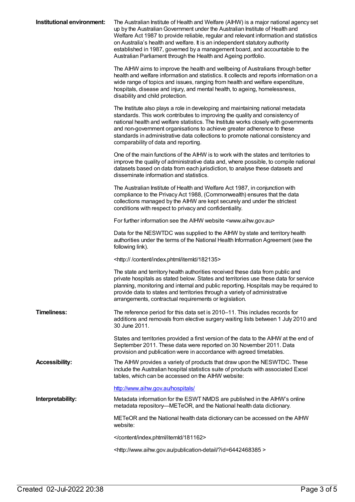| Institutional environment: | The Australian Institute of Health and Welfare (AIHW) is a major national agency set<br>up by the Australian Government under the Australian Institute of Health and<br>Welfare Act 1987 to provide reliable, regular and relevant information and statistics<br>on Australia's health and welfare. It is an independent statutory authority<br>established in 1987, governed by a management board, and accountable to the<br>Australian Parliament through the Health and Ageing portfolio. |
|----------------------------|-----------------------------------------------------------------------------------------------------------------------------------------------------------------------------------------------------------------------------------------------------------------------------------------------------------------------------------------------------------------------------------------------------------------------------------------------------------------------------------------------|
|                            | The AIHW aims to improve the health and wellbeing of Australians through better<br>health and welfare information and statistics. It collects and reports information on a<br>wide range of topics and issues, ranging from health and welfare expenditure,<br>hospitals, disease and injury, and mental health, to ageing, homelessness,<br>disability and child protection.                                                                                                                 |
|                            | The Institute also plays a role in developing and maintaining national metadata<br>standards. This work contributes to improving the quality and consistency of<br>national health and welfare statistics. The Institute works closely with governments<br>and non-government organisations to achieve greater adherence to these<br>standards in administrative data collections to promote national consistency and<br>comparability of data and reporting.                                 |
|                            | One of the main functions of the AIHW is to work with the states and territories to<br>improve the quality of administrative data and, where possible, to compile national<br>datasets based on data from each jurisdiction, to analyse these datasets and<br>disseminate information and statistics.                                                                                                                                                                                         |
|                            | The Australian Institute of Health and Welfare Act 1987, in conjunction with<br>compliance to the Privacy Act 1988, (Commonwealth) ensures that the data<br>collections managed by the AIHW are kept securely and under the strictest<br>conditions with respect to privacy and confidentiality.                                                                                                                                                                                              |
|                            | For further information see the AIHW website <www.aihw.gov.au></www.aihw.gov.au>                                                                                                                                                                                                                                                                                                                                                                                                              |
|                            | Data for the NESWTDC was supplied to the AIHW by state and territory health<br>authorities under the terms of the National Health Information Agreement (see the<br>following link).                                                                                                                                                                                                                                                                                                          |
|                            | <http: 182135="" content="" index.phtml="" itemld=""></http:>                                                                                                                                                                                                                                                                                                                                                                                                                                 |
|                            | The state and territory health authorities received these data from public and<br>private hospitals as stated below. States and territories use these data for service<br>planning, monitoring and internal and public reporting. Hospitals may be required to<br>provide data to states and territories through a variety of administrative<br>arrangements, contractual requirements or legislation.                                                                                        |
| <b>Timeliness:</b>         | The reference period for this data set is 2010-11. This includes records for<br>additions and removals from elective surgery waiting lists between 1 July 2010 and<br>30 June 2011.                                                                                                                                                                                                                                                                                                           |
|                            | States and territories provided a first version of the data to the AIHW at the end of<br>September 2011. These data were reported on 30 November 2011. Data<br>provision and publication were in accordance with agreed timetables.                                                                                                                                                                                                                                                           |
| <b>Accessibility:</b>      | The AIHW provides a variety of products that draw upon the NESWTDC. These<br>include the Australian hospital statistics suite of products with associated Excel<br>tables, which can be accessed on the AIHW website:                                                                                                                                                                                                                                                                         |
|                            | http://www.aihw.gov.au/hospitals/                                                                                                                                                                                                                                                                                                                                                                                                                                                             |
| Interpretability:          | Metadata information for the ESWT NMDS are published in the AIHW's online<br>metadata repository—METeOR, and the National health data dictionary.                                                                                                                                                                                                                                                                                                                                             |
|                            | METeOR and the National health data dictionary can be accessed on the AIHW<br>website:                                                                                                                                                                                                                                                                                                                                                                                                        |
|                            |                                                                                                                                                                                                                                                                                                                                                                                                                                                                                               |
|                            | <http: ?id="6442468385" publication-detail="" www.aihw.gov.au=""></http:>                                                                                                                                                                                                                                                                                                                                                                                                                     |